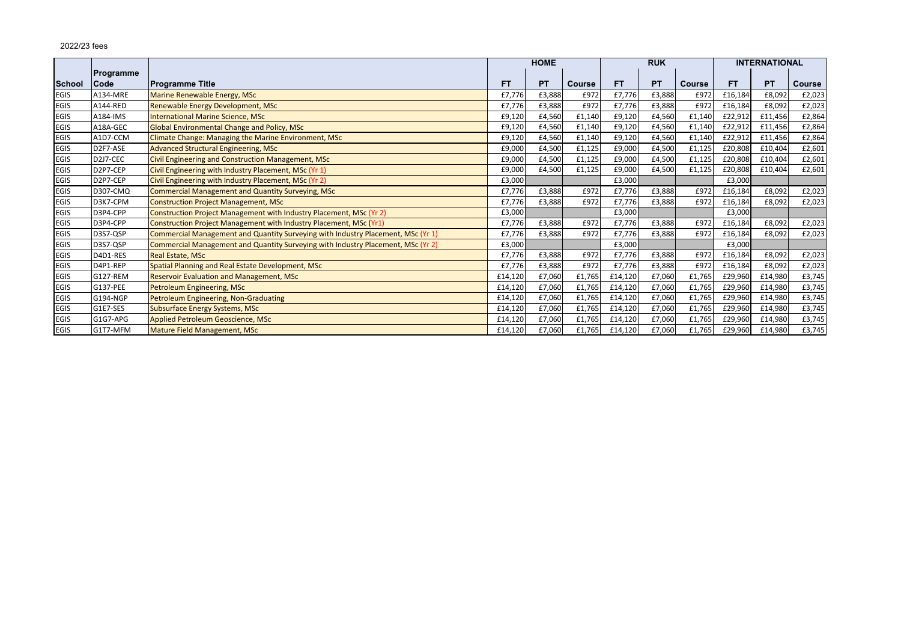|             |                                    |                                                                                  | <b>HOME</b> |           |               | <b>RUK</b> |           |               | <b>INTERNATIONAL</b> |           |               |
|-------------|------------------------------------|----------------------------------------------------------------------------------|-------------|-----------|---------------|------------|-----------|---------------|----------------------|-----------|---------------|
| School      | <b>Programme</b><br><b>Code</b>    | <b>Programme Title</b>                                                           | <b>FT</b>   | <b>PT</b> | <b>Course</b> | <b>FT</b>  | <b>PT</b> | <b>Course</b> | <b>FT</b>            | <b>PT</b> | <b>Course</b> |
| <b>EGIS</b> | A134-MRE                           | Marine Renewable Energy, MSc                                                     | £7,776      | £3,888    | £972          | £7,776     | £3,888    | £972          | £16,184              | £8,092    | £2,023        |
| <b>EGIS</b> | A144-RED                           | Renewable Energy Development, MSc                                                | £7,776      | £3,888    | £972          | £7,776     | £3,888    | £972          | £16,184              | £8,092    | £2,023        |
| <b>EGIS</b> | A184-IMS                           | <b>International Marine Science, MSc</b>                                         | £9,120      | £4,560    | £1,140        | £9,120     | £4,560    | £1,140        | £22,912              | £11,456   | £2,864        |
| <b>EGIS</b> | A18A-GEC                           | Global Environmental Change and Policy, MSc                                      | £9,120      | £4,560    | £1,140        | £9,120     | £4,560    | £1,140        | £22,912              | £11,456   | £2,864        |
| <b>EGIS</b> | A1D7-CCM                           | Climate Change: Managing the Marine Environment, MSc                             | £9,120      | £4,560    | £1,140        | £9,120     | £4,560    | £1,140        | £22,912              | £11,456   | £2,864        |
| <b>EGIS</b> | D2F7-ASE                           | Advanced Structural Engineering, MSc                                             | £9,000      | £4,500    | £1,125        | £9,000     | £4,500    | £1,125        | £20,808              | £10,404   | £2,601        |
| <b>EGIS</b> | D2J7-CEC                           | Civil Engineering and Construction Management, MSc                               | £9,000      | £4,500    | £1,125        | £9,000     | £4,500    | £1,125        | £20,808              | £10,404   | £2,601        |
| <b>EGIS</b> | D <sub>2</sub> P <sub>7</sub> -CEP | Civil Engineering with Industry Placement, MSc (Yr 1)                            | £9,000      | £4,500    | £1,125        | £9,000     | £4,500    | £1,125        | £20,808              | £10,404   | £2,601        |
| <b>EGIS</b> | D <sub>2</sub> P <sub>7</sub> -CEP | Civil Engineering with Industry Placement, MSc (Yr 2)                            | £3,000      |           |               | £3,000     |           |               | £3,000               |           |               |
| <b>EGIS</b> | <b>D307-CMQ</b>                    | <b>Commercial Management and Quantity Surveying, MSc</b>                         | £7,776      | £3,888    | £972          | £7,776     | £3,888    | £972          | £16,184              | £8,092    | £2,023        |
| <b>EGIS</b> | D3K7-CPM                           | Construction Project Management, MSc                                             | £7,776      | £3,888    | £972          | £7,776     | £3,888    | £972          | £16,184              | £8,092    | £2,023        |
| <b>EGIS</b> | D3P4-CPP                           | Construction Project Management with Industry Placement, MSc (Yr 2)              | £3,000      |           |               | £3,000     |           |               | £3,000               |           |               |
| <b>EGIS</b> | D3P4-CPP                           | Construction Project Management with Industry Placement, MSc (Yr1)               | £7,776      | £3,888    | £972          | £7,776     | £3,888    | £972          | £16,184              | £8,092    | £2,023        |
| <b>EGIS</b> | D3S7-QSP                           | Commercial Management and Quantity Surveying with Industry Placement, MSc (Yr 1) | £7,776      | £3,888    | £972          | £7,776     | £3,888    | £972          | £16,184              | £8,092    | £2,023        |
| <b>EGIS</b> | D3S7-QSP                           | Commercial Management and Quantity Surveying with Industry Placement, MSc (Yr 2) | £3,000      |           |               | £3,000     |           |               | £3,000               |           |               |
| <b>EGIS</b> | D4D1-RES                           | Real Estate, MSc                                                                 | £7,776      | £3,888    | £972          | £7,776     | £3,888    | £972          | £16,184              | £8,092    | £2,023        |
| <b>EGIS</b> | D4P1-REP                           | Spatial Planning and Real Estate Development, MSc                                | £7,776      | £3,888    | £972          | £7,776     | £3,888    | £972          | £16,184              | £8,092    | £2,023        |
| <b>EGIS</b> | G127-REM                           | <b>Reservoir Evaluation and Management, MSc</b>                                  | £14,120     | £7,060    | £1,765        | £14,120    | £7,060    | £1,765        | £29,960              | £14,980   | £3,745        |
| <b>EGIS</b> | G137-PEE                           | Petroleum Engineering, MSc                                                       | £14,120     | £7,060    | £1,765        | £14,120    | £7,060    | £1,765        | £29,960              | £14,980   | £3,745        |
| <b>EGIS</b> | G194-NGP                           | Petroleum Engineering, Non-Graduating                                            | £14,120     | £7,060    | £1,765        | £14,120    | £7,060    | £1,765        | £29,960              | £14,980   | £3,745        |
| <b>EGIS</b> | G1E7-SES                           | <b>Subsurface Energy Systems, MSc</b>                                            | £14,120     | £7,060    | £1,765        | £14,120    | £7,060    | £1,765        | £29,960              | £14,980   | £3,745        |
| <b>EGIS</b> | G1G7-APG                           | Applied Petroleum Geoscience, MSc                                                | £14,120     | £7,060    | £1,765        | £14,120    | £7,060    | £1,765        | £29,960              | £14,980   | £3,745        |
| <b>EGIS</b> | G1T7-MFM                           | <b>Mature Field Management, MSc</b>                                              | £14,120     | £7,060    | £1,765        | £14,120    | £7,060    | £1,765        | £29,960              | £14,980   | £3,745        |

## 2022/23 fees